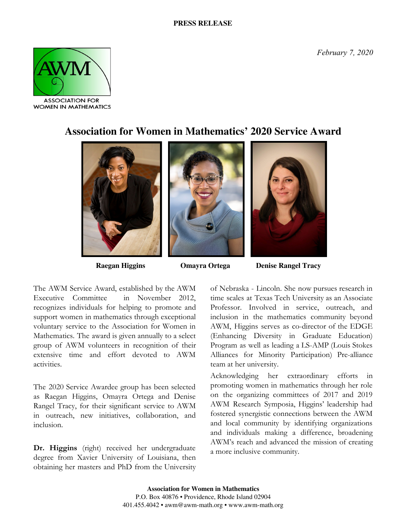*February 7, 2020*



**WOMEN IN MATHEMATICS** 

## **Association for Women in Mathematics' 2020 Service Award**



**Raegan Higgins Omayra Ortega Denise Rangel Tracy**

The AWM Service Award, established by the AWM Executive Committee in November 2012, recognizes individuals for helping to promote and support women in mathematics through exceptional voluntary service to the Association for Women in Mathematics. The award is given annually to a select group of AWM volunteers in recognition of their extensive time and effort devoted to AWM activities.

The 2020 Service Awardee group has been selected as Raegan Higgins, Omayra Ortega and Denise Rangel Tracy, for their significant service to AWM in outreach, new initiatives, collaboration, and inclusion.

Dr. Higgins (right) received her undergraduate degree from Xavier University of Louisiana, then obtaining her masters and PhD from the University of Nebraska - Lincoln. She now pursues research in time scales at Texas Tech University as an Associate Professor. Involved in service, outreach, and inclusion in the mathematics community beyond AWM, Higgins serves as co-director of the EDGE (Enhancing Diversity in Graduate Education) Program as well as leading a LS-AMP (Louis Stokes Alliances for Minority Participation) Pre-alliance team at her university.

Acknowledging her extraordinary efforts in promoting women in mathematics through her role on the organizing committees of 2017 and 2019 AWM Research Symposia, Higgins' leadership had fostered synergistic connections between the AWM and local community by identifying organizations and individuals making a difference, broadening AWM's reach and advanced the mission of creating a more inclusive community.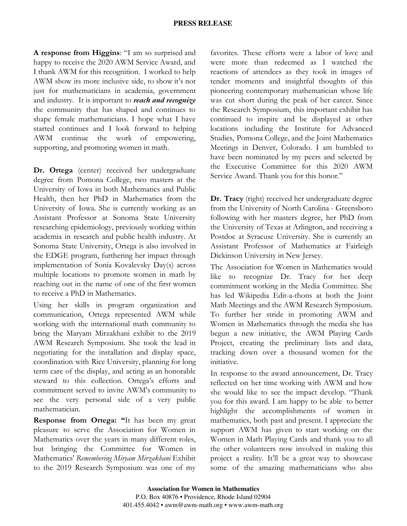## **PRESS RELEASE**

**A response from Higgins**: "I am so surprised and happy to receive the 2020 AWM Service Award, and I thank AWM for this recognition. I worked to help AWM show its more inclusive side, to show it's not just for mathematicians in academia, government and industry. It is important to *reach and recognize* the community that has shaped and continues to shape female mathematicians. I hope what I have started continues and I look forward to helping AWM continue the work of empowering, supporting, and promoting women in math.

**Dr. Ortega** (center) received her undergraduate degree from Pomona College, two masters at the University of Iowa in both Mathematics and Public Health, then her PhD in Mathematics from the University of Iowa. She is currently working as an Assistant Professor at Sonoma State University researching epidemiology, previously working within academia in research and public health industry. At Sonoma State University, Ortega is also involved in the EDGE program, furthering her impact through implementation of Sonia Kovalevsky Day(s) across multiple locations to promote women in math by reaching out in the name of one of the first women to receive a PhD in Mathematics.

Using her skills in program organization and communication, Ortega represented AWM while working with the international math community to bring the Maryam Mirzakhani exhibit to the 2019 AWM Research Symposium. She took the lead in negotiating for the installation and display space, coordination with Rice University, planning for long term care of the display, and acting as an honorable steward to this collection. Ortega's efforts and commitment served to invite AWM's community to see the very personal side of a very public mathematician.

**Response from Ortega: "**It has been my great pleasure to serve the Association for Women in Mathematics over the years in many different roles, but bringing the Committee for Women in Mathematics' *Remembering Miryam Mirzakhani* Exhibit to the 2019 Research Symposium was one of my favorites. These efforts were a labor of love and were more than redeemed as I watched the reactions of attendees as they took in images of tender moments and insightful thoughts of this pioneering contemporary mathematician whose life was cut short during the peak of her career. Since the Research Symposium, this important exhibit has continued to inspire and be displayed at other locations including the Institute for Advanced Studies, Pomona College, and the Joint Mathematics Meetings in Denver, Colorado. I am humbled to have been nominated by my peers and selected by the Executive Committee for this 2020 AWM Service Award. Thank you for this honor."

**Dr. Tracy** (right) received her undergraduate degree from the University of North Carolina - Greensboro following with her masters degree, her PhD from the University of Texas at Arlington, and receiving a Postdoc at Syracuse University. She is currently an Assistant Professor of Mathematics at Fairleigh Dickinson University in New Jersey.

The Association for Women in Mathematics would like to recognize Dr. Tracy for her deep commitment working in the Media Committee. She has led Wikipedia Edit-a-thons at both the Joint Math Meetings and the AWM Research Symposium. To further her stride in promoting AWM and Women in Mathematics through the media she has begun a new initiative, the AWM Playing Cards Project, creating the preliminary lists and data, tracking down over a thousand women for the initiative.

In response to the award announcement, Dr. Tracy reflected on her time working with AWM and how she would like to see the impact develop. "Thank you for this award. I am happy to be able to better highlight the accomplishments of women in mathematics, both past and present. I appreciate the support AWM has given to start working on the Women in Math Playing Cards and thank you to all the other volunteers now involved in making this project a reality. It'll be a great way to showcase some of the amazing mathematicians who also